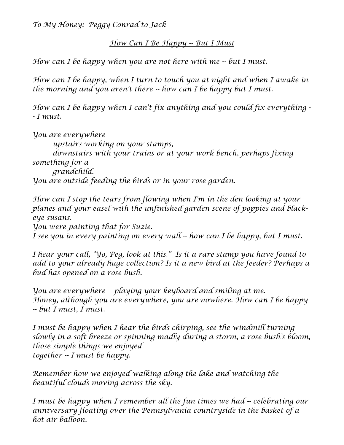*To My Honey: Peggy Conrad to Jack* 

*How Can I Be Happy -- But I Must*

*How can I be happy when you are not here with me -- but I must.* 

*How can I be happy, when I turn to touch you at night and when I awake in the morning and you aren't there -- how can I be happy but I must.* 

*How can I be happy when I can't fix anything and you could fix everything - - I must.* 

*You are everywhere – upstairs working on your stamps, downstairs with your trains or at your work bench, perhaps fixing something for a grandchild. You are outside feeding the birds or in your rose garden.* 

*How can I stop the tears from flowing when I'm in the den looking at your planes and your easel with the unfinished garden scene of poppies and blackeye susans.* 

*You were painting that for Suzie.* 

*I see you in every painting on every wall -- how can I be happy, but I must.* 

*I hear your call, "Yo, Peg, look at this." Is it a rare stamp you have found to add to your already huge collection? Is it a new bird at the feeder? Perhaps a bud has opened on a rose bush.* 

*You are everywhere -- playing your keyboard and smiling at me. Honey, although you are everywhere, you are nowhere. How can I be happy -- but I must, I must.* 

*I* must be happy when *I* hear the birds chirping, see the windmill turning *slowly in a soft breeze or spinning madly during a storm, a rose bush's bloom, those simple things we enjoyed together -- I must be happy.* 

*Remember how we enjoyed walking along the lake and watching the beautiful clouds moving across the sky.* 

*I must be happy when I remember all the fun times we had -- celebrating our anniversary floating over the Pennsylvania countryside in the basket of a hot air balloon.*